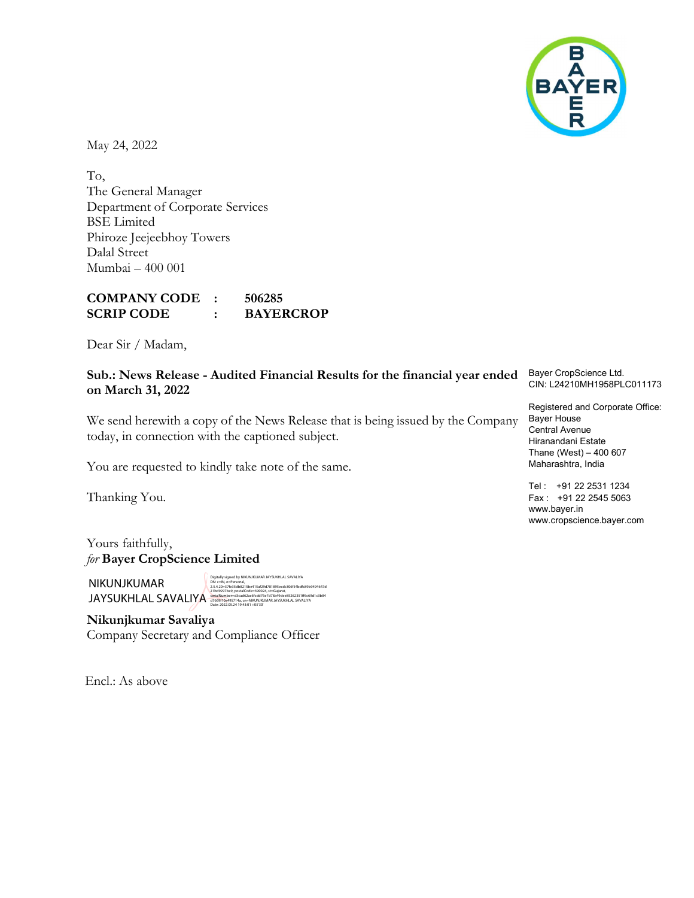

May 24, 2022

To, The General Manager Department of Corporate Services BSE Limited Phiroze Jeejeebhoy Towers Dalal Street Mumbai – 400 001

COMPANY CODE : 506285 SCRIP CODE : BAYERCROP

Dear Sir / Madam,

### Sub.: News Release - Audited Financial Results for the financial year ended on March 31, 2022

We send herewith a copy of the News Release that is being issued by the Company today, in connection with the captioned subject.

You are requested to kindly take note of the same.

Thanking You.

Yours faithfully, for Bayer CropScience Limited

NIKUNJKUMAR JAYSUKHLAL SAVALIYA Date: 2022.05.24 19:43:01 +05'30'

Digitally signed by NIKUNJKUMAR JAYSUKHLAL SAVALIYA DN: c=IN, o=Personal, 2.5.4.20=37fe35db8215be415af29d781895ecdc306f54bdfc89b9494647d<br>21bd9297be9, postalCode=390024, st=Gujarat,<br><mark>serialNumber=d3cad62ac6fcdd76e7d78a49dee85262351ff6c69d1c3b84</mark><br>d7669f10a495714a, cn=NIKUNJKUMAR JAYSUKHLAL SAVALIY

Nikunjkumar Savaliya Company Secretary and Compliance Officer

Encl.: As above

Bayer CropScience Ltd. CIN: L24210MH1958PLC011173

Registered and Corporate Office: Bayer House Central Avenue Hiranandani Estate Thane (West) – 400 607 Maharashtra, India

Tel : +91 22 2531 1234 Fax : +91 22 2545 5063 www.bayer.in www.cropscience.bayer.com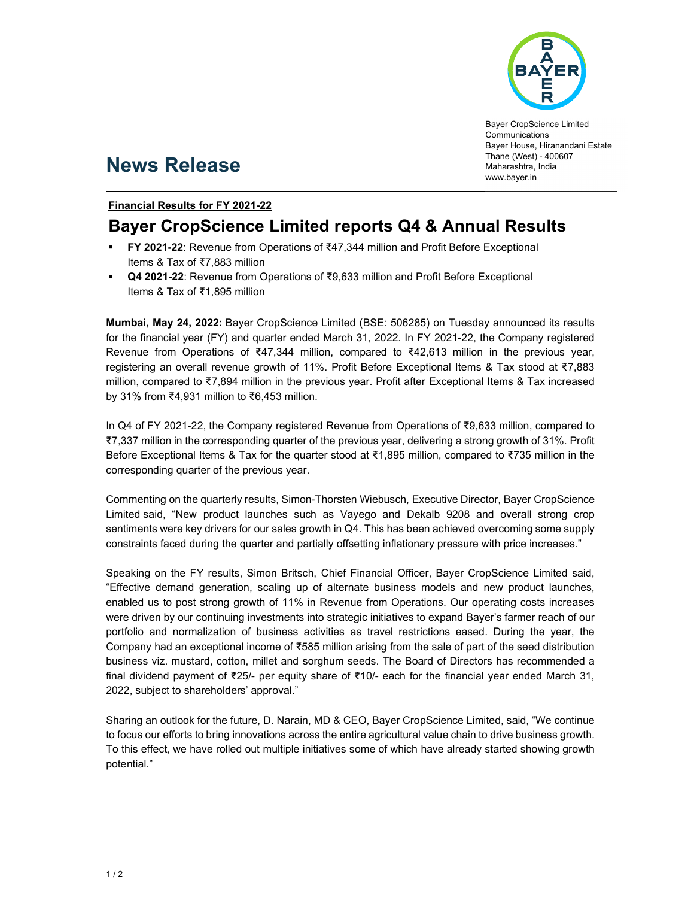

Bayer CropScience Limited Communications Bayer House, Hiranandani Estate Thane (West) - 400607 Maharashtra, India www.bayer.in

# News Release

### Financial Results for FY 2021-22

## Bayer CropScience Limited reports Q4 & Annual Results

- FY 2021-22: Revenue from Operations of ₹47,344 million and Profit Before Exceptional Items & Tax of ₹7,883 million
- Q4 2021-22: Revenue from Operations of ₹9,633 million and Profit Before Exceptional Items & Tax of ₹1,895 million

Mumbai, May 24, 2022: Bayer CropScience Limited (BSE: 506285) on Tuesday announced its results for the financial year (FY) and quarter ended March 31, 2022. In FY 2021-22, the Company registered Revenue from Operations of ₹47,344 million, compared to ₹42,613 million in the previous year, registering an overall revenue growth of 11%. Profit Before Exceptional Items & Tax stood at ₹7,883 million, compared to ₹7,894 million in the previous year. Profit after Exceptional Items & Tax increased by 31% from ₹4,931 million to ₹6,453 million.

In Q4 of FY 2021-22, the Company registered Revenue from Operations of ₹9,633 million, compared to ₹7,337 million in the corresponding quarter of the previous year, delivering a strong growth of 31%. Profit Before Exceptional Items & Tax for the quarter stood at ₹1,895 million, compared to ₹735 million in the corresponding quarter of the previous year.

Commenting on the quarterly results, Simon-Thorsten Wiebusch, Executive Director, Bayer CropScience Limited said, "New product launches such as Vayego and Dekalb 9208 and overall strong crop sentiments were key drivers for our sales growth in Q4. This has been achieved overcoming some supply constraints faced during the quarter and partially offsetting inflationary pressure with price increases."

Speaking on the FY results, Simon Britsch, Chief Financial Officer, Bayer CropScience Limited said, "Effective demand generation, scaling up of alternate business models and new product launches, enabled us to post strong growth of 11% in Revenue from Operations. Our operating costs increases were driven by our continuing investments into strategic initiatives to expand Bayer's farmer reach of our portfolio and normalization of business activities as travel restrictions eased. During the year, the Company had an exceptional income of ₹585 million arising from the sale of part of the seed distribution business viz. mustard, cotton, millet and sorghum seeds. The Board of Directors has recommended a final dividend payment of ₹25/- per equity share of ₹10/- each for the financial year ended March 31, 2022, subject to shareholders' approval."

Sharing an outlook for the future, D. Narain, MD & CEO, Bayer CropScience Limited, said, "We continue to focus our efforts to bring innovations across the entire agricultural value chain to drive business growth. To this effect, we have rolled out multiple initiatives some of which have already started showing growth potential."